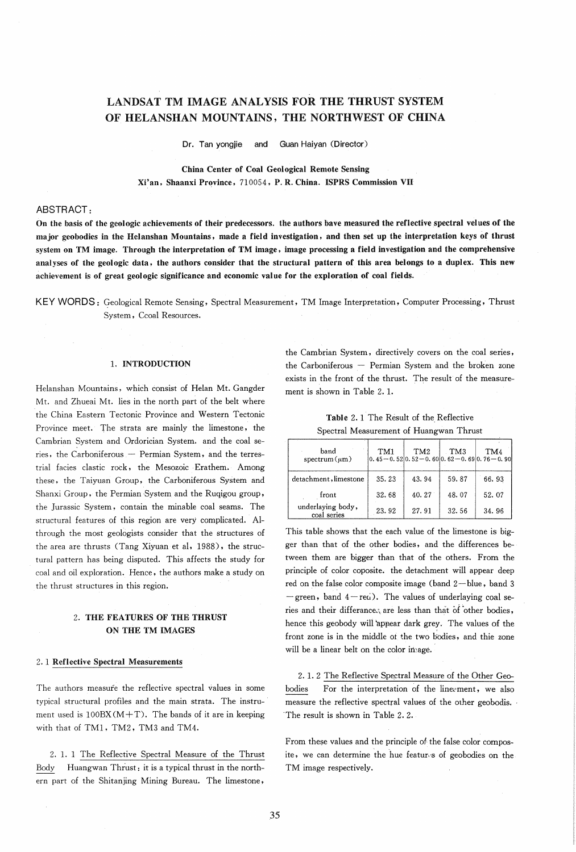# LANDSAT TM IMAGE ANALYSIS FOR THE THRUST SYSTEM OF HELANSHAN MOUNTAINS, THE NORTHWEST OF CHINA

Dr. Tan yongjie and Guan Haiyan (Director)

China Center of Coal Geological Remote Sensing Xi' an, Shaanxi Province, 71 005 4, P. R. China. ISPRS Commission VII

### ABSTRACT:

On the basis of the geologic achievements of their predecessors. the authors bave measured the reflective spectral velues of the major geobodies in the Helanshan Mountains, made a field investigation, and then set up the interpretation keys of thrust system on TM image. Through the interpretation of TM image, image processing a field investigation and the comprehensive analyses of the geologic data, the authors consider that the structural pattern of this area belongs to a duplex. This new achievement is of great geologic significance and economic value for the exploration of coal fields.

KEY WORDS: Geological Remote Sensing, Spectral Measurement, TM Image Interpretation, Computer Processing, Thrust System, Ccoal Resources.

### 1. INTRODUCTION

Helanshan Mountains, which consist of Helan Mt. Gangder Mt. and Zhueai Mt. lies in the north part of the belt where the China Eastern Tectonic Province and Western Tectonic Province meet. The strata are mainly the limestone, the Cambrian System and Ordorician System. and the coal series, the Carboniferous - Permian System, and the terrestrial facies clastic rock, the Mesozoic . Erathem. Among these, the Taiyuan Group, the Carboniferous System and Shanxi Group, the Permian System and the Ruqigou group, the Jurassic System, contain the minable coal seams. The structural features of this region are very complicated. AIthrough the most geologists consider that the structures of the area are thrusts (Tang Xiyuan et aI, 1988), the structural pattern has being disputed. This affects the study for coal and oil exploration. Hence, the authors make a study on the thrust structures in this region.

# 2. THE FEATURES OF THE THRUST ON THE TM IMAGES

### 2. 1 Reflective Spectral Measurements

The authors measure the reflective spectral values in some typical structural profiles and the main strata. The instrument used is  $100BX(M+T)$ . The bands of it are in keeping with that of TM1. TM2, TM3 and TM4.

2. 1. 1 The Reflective Spectral Measure of the Thrust Body Huangwan Thrust: it is a typical thrust in the northern part of the Shitanjing Mining Bureau. The limestone,

the Cambrian System, directively covers on the coal series, the Carboniferous - Permian System and the broken zone exists in the front of the thrust. The result of the measurement is shown in Table 2. 1.

Table 2. 1 The Result of the Reflective Spectral Measurement of Huangwan Thrust

| band<br>$spectrum(\mu m)$        | TM1   | TM <sub>2</sub> | TM <sub>3</sub> | TM4<br>$[0.45 - 0.52]$ 0.52 - 0.60 $[0.62 - 0.69]$ 0.76 - 0.90 |
|----------------------------------|-------|-----------------|-----------------|----------------------------------------------------------------|
| detachment, limestone            | 35.23 | 43.94           | 59.87           | 66.93                                                          |
| front                            | 32.68 | 40.27           | 48.07           | 52.07                                                          |
| underlaying body,<br>coal series | 23.92 | 27.91           | 32.56           | 34.96                                                          |

This table shows that the each value of the limestone is bigger than that of the other bodies, and the differences between them are bigger than that of the others. From the principle of color coposite. the detachment will appear deep red on the false color composite image (band 2-blue, band 3 - green, band  $4 - \text{rec}$ ). The values of underlaying coal series and their differance.\ are less than that of 'other bodies, hence this geobody will 'appear dark grey. The values of the front zone is in the middle ot the two bodies, and thie zone will be a linear belt on the color image.

2.1.2 The Reflective Spectral Measure of the Other Geobodies For the interpretation of the linecment, we also measure the reflective spectral values of the other geobodis. 'The result is shown in Table 2.2.

From these values and the principle of the false color composite, we can determine the hue features of geobodies on the TM image respectively.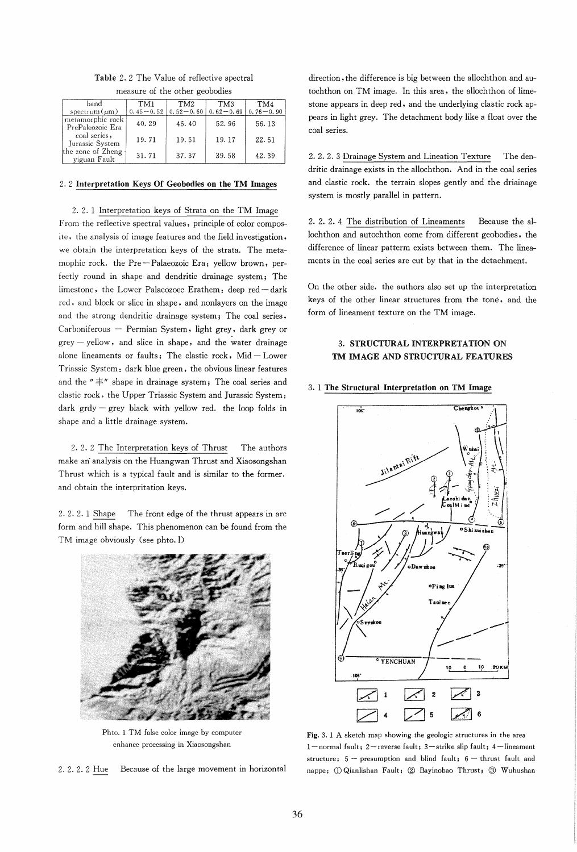| band                                 | TM1           | TM <sub>2</sub> | TM <sub>3</sub> | TM4           |
|--------------------------------------|---------------|-----------------|-----------------|---------------|
| $spectrum(\mu m)$                    | $0.45 - 0.52$ | $0.52 - 0.60$   | $0.62 - 0.69$   | $0.76 - 0.90$ |
| metamorphic rock<br>PrePaleozoic Era | 40.29         | 46.40           | 52.96           | 56.13         |
| coal series,<br>Jurassic System      | 19.71         | 19.51           | 19.17           | 22.51         |
| the zone of Zheng -<br>viguan Fault  | 31.71         | 37.37           | 39.58           | 42.39         |

Table 2. 2 The Value of reflective spectral measure of the other geobodies

### 2. 2 Interpretation Keys Of Geobodies on the TM Images

2. 2. 1 Interpretation keys of Strata on the TM Image From the reflective spectral values, principle of color composite, the analysis of image features and the field investigation, we obtain the interpretation keys of the strata. The metamophic rock. the Pre- Palaeozoic Era: yellow brown, perfectly round in shape and dendritic drainage system; The limestone, the Lower Palaeozoec Erathem: deep red-dark red, and block or slice in shape, and nonlayers on the image and the strong dendritic drainage system; The coal series, Carboniferous - Permian System, light grey, dark grey or grey - yellow, and slice in shape, and the water drainage alone lineaments or faults; The clastic rock,  $Mid - Lower$ Triassic System: dark blue green, the obvious linear features and the  $" \not\equiv"$  shape in drainage system; The coal series and clastic rock. the Upper Triassic System and Jurassic System: dark  $grdy - grey$  black with yellow red. the loop folds in shape and a little drainage system.

2. 2. 2 The Interpretation keys of Thrust The authors make an analysis on the Huangwan Thrust and Xiaosongshan Thrust which is a typical fault and is similar to the former. and obtain the interpritation keys.

2. 2. 2. 1 Shape The front edge of the thrust appears in arc form and hill shape. This phenomenon can be found from the TM image obviously (see phto. l)



Phto. 1 TM false color image by computer enhance processing in Xiaosongshan

2.2. 2. 2 Hue Because of the large movement in horizontal

direction, the difference is big between the allochthon and autochthon on TM image. In this area, the allochthon of limestone appears in deep red, and the underlying clastic rock appears in light grey. The detachment body like a float over the coal series.

2. 2.2.3 Drainage System and Lineation Texture The dendritic drainage exists in the allochthon. And in the coal series and clastic rock. the terrain slopes gently and the driainage system is mostly parallel in pattern.

2. 2. 2. 4 The distribution of Lineaments Because the allochthon and autochthon come from different geobodies, the difference of linear patterm exists between them. The lineaments in the coal series are cut by that in the detachment.

On the other side. the authors also set up the interpretation keys of the other linear structures from the tone, and the form of lineament texture on the TM image.

## 3. STRUCTURAL INTERPRETATION ON TM IMAGE AND STRUCTURAL FEATURES

### 3. 1 The Structural Interpretation on TM Image



Fig. 3. 1 A sketch map showing the geologic structures in the area 1-normal fault; 2-reverse fault; 3-strike slip fault; 4-lineament structure;  $5$  - presumption and blind fault;  $6$  - thrust fault and nappe; ① Qianlishan Fault; ② Bayinobao Thrust; ③ Wuhushan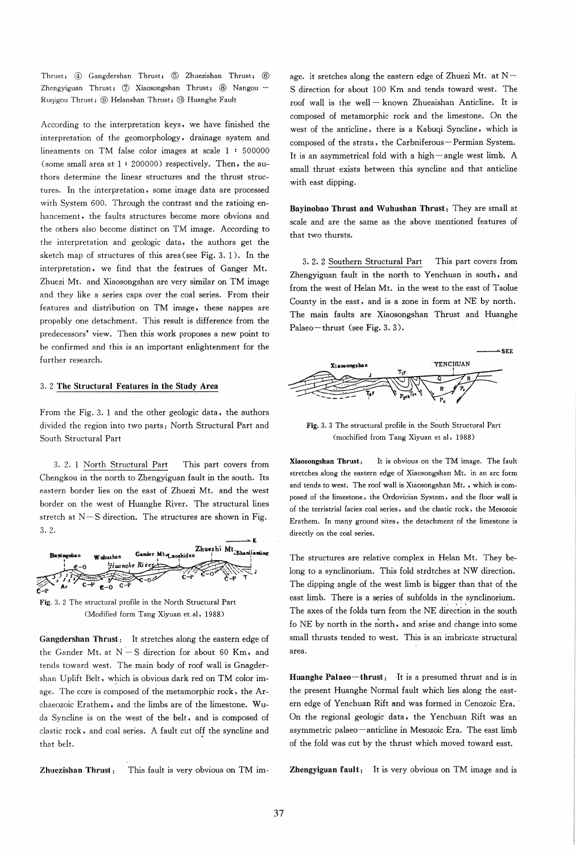Thrust; 4) Gangdershan Thrust; 5) Zhuezishan Thrust; 6) Zhengyiguan Thrust; 7 Xiaosongshan Thrust; 8 Nangou -Ruqigou Thrust; (9) Helanshan Thrust; (1) Huanghe Fault

According to the interpretation keys, we have finished the interpretation of the geomorphology, drainage system and lineaments on TM false color images at scale 1:500000 (some small area at 1:200000) respectively. Then, the authors determine the linear structures and the thrust structures. In the interpretation, some image data are processed with System 600. Through the contrast and the ratioing enhancement, the faults structures become more obvions and the others also become distinct on TM image. According to the interpretation and geologic data, the authors get the sketch map of structures of this area (see Fig. 3.1). In the interpretation, we find that the featrues of Ganger Mt. Zhuezi Mt. and Xiaosongshan are very similar on TM image and they like a series caps over the coal series. From their features and distribution on TM image, these nappes are propably one detachment. This result is difference from the predecessors' view. Then this work proposes a new point to be confirmed and this is an important enlightenment for the further research.

### 3. 2 The Structural Features in the Study Area

From the Fig. 3. 1 and the other geologic data, the authors divided the region into two parts: North Structural Part and South Structural Part

3. 2. 1 North Structural Part This part covers from Chengkou in the north to Zhengyiguan fault in the south. Its eastern border lies on the east of Zhuezi Mt. and the west border on the west of Huanghe River. The structural lines stretch at N-S direction. The structures are shown in Fig.  $3.2.$ 



Fig. 3. 2 The structural profile in the North Structural Part (Modified form Tang Xiyuan et al, 1988)

Gangdershan Thrust: It stretches along the eastern edge of the Gander Mt. at N-S direction for about 60 Km, and tends toward west. The main body of roof wall is Gnagdershan Uplift Belt, which is obvious dark red on TM color image. The core is composed of the metamorphic rock, the Archaeozoic Erathem, and the limbs are of the limestone. Wuda Syncline is on the west of the belt, and is composed of clastic rock, and coal series. A fault cut off the syncline and that belt.

Zhuezishan Thrust: This fault is very obvious on TM image. it sretches along the eastern edge of Zhuezi Mt. at  $N-$ S direction for about 100 Km and tends toward west. The roof wall is the well - known Zhueaishan Anticline. It is composed of metamorphic rock and the limestone. On the west of the anticline, there is a Kabuqi Syncline, which is composed of the strata, the Carbniferous-Permian System. It is an asymmetrical fold with a high-angle west limb. A small thrust exists between this syncline and that anticline with east dipping.

Bayinobao Thrust and Wuhushan Thrust: They are small at scale and are the same as the above mentioned features of that two thursts.

3. 2. 2 Southern Structural Part This part covers from Zhengyiguan fault in the north to Yenchuan in south, and from the west of Helan Mt. in the west to the east of Taolue County in the east, and is a zone in form at NE by north. The main faults are Xiaosongshan Thrust and Huanghe Palaeo-thrust (see Fig. 3.3).



Fig. 3. 3 The structural profile in the South Structural Part (mochified from Tang Xiyuan et al, 1988)

It is obvious on the TM image. The fault Xiaosongshan Thrust: stretches along the eastern edge of Xiaosongshan Mt. in an arc form and tends to west. The roof wall is Xiaosongshan Mt., which is composed of the limestone, the Ordovician System, and the floor wall is of the terristrial facies coal series, and the clastic rock, the Mesozoic Erathem. In many ground sites, the detachment of the limestone is directly on the coal series.

The structures are relative complex in Helan Mt. They belong to a synclinorium. This fold strdtches at NW direction. The dipping angle of the west limb is bigger than that of the east limb. There is a series of subfolds in the synclinorium. The axes of the folds turn from the NE direction in the south fo NE by north in the north, and arise and change into some small thrusts tended to west. This is an imbricate structural area.

Huanghe Palaeo-thrust: It is a presumed thrust and is in the present Huanghe Normal fault which lies along the eastern edge of Yenchuan Rift and was formed in Cenozoic Era. On the regional geologic data, the Yenchuan Rift was an asymmetric palaeo-anticline in Mesozoic Era. The east limb of the fold was cut by the thrust which moved toward east.

Zhengyiguan fault: It is very obvious on TM image and is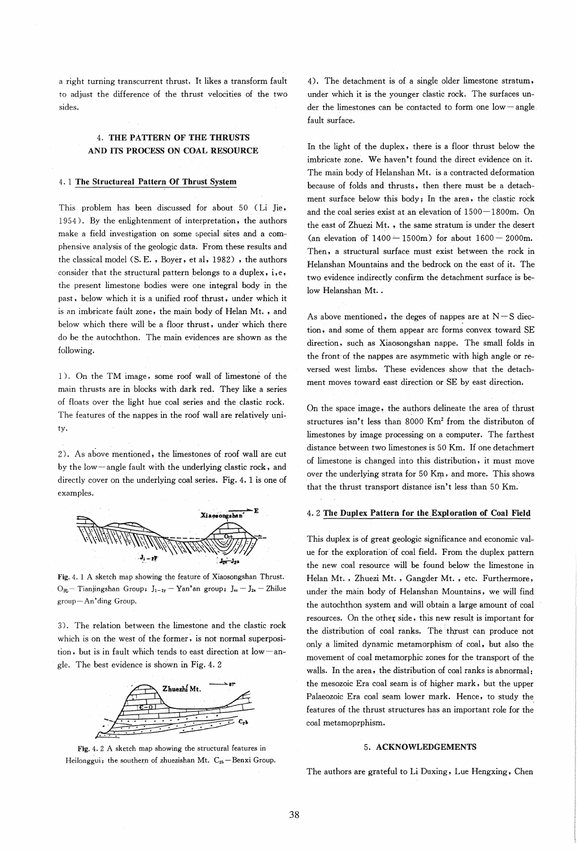a right turning transcurrent thrust. It likes a transform fault to adjust the difference of the thrust velocities of the two sides.

# 4. THE PATTERN OF THE THRUSTS AND ITS PROCESS ON COAL RESOURCE

### 4. 1 The Structureal Pattern Of Thrust System

This problem has been discussed for about 50 (Li *lie,*  1954). By the enlightenment of interpretation, the authors make a field investigation on some special sites and a comphensive analysis of the geologic data. From these results and the classical model (S. E. , Boyer, et aI, 1982) , the authors consider that the structural pattern belongs to a duplex, i,e, the present limestone bodies were one integral body in the past, below which it is a unified roof thrust, under which it is an imbricate fault zone, the main body of Helan Mt. , and below which there will be a floor thrust, under' which there do be the autochthon. The main evidences are shown as the following.

1 ). On the TM image, some roof wall of limestone of the main thrusts are in blocks with dark red. They like a series of floats over the light hue coal series and the clastic rock. The features of the nappes in the roof wall are relatively unity.

2). As above mentioned, the limestones of roof wall are cut by the low-angle fault with the underlying clastic rock, and directly cover on the underlying coal series. Fig. 4. 1 is one of examples.



Fig. 4. 1 A sketch map showing the feature of Xiaosongshan Thrust.  $O_{16}$  - Tianjingshan Group;  $J_{1-2y}$  - Yan'an group;  $J_{1a}$  -  $J_{2a}$  - Zhilue group - An' ding Group.

3). The relation between the limestone and the clastic rock which is on the west of the former, is not normal superposition. but is in fault which tends to east direction at low-angle. The best evidence is shown in Fig. 4. 2



Fig. 4. 2 A sketch map showing the structural features in Heilonggui; the southern of zhuezishan Mt.  $C_{2b}$  - Benxi Group.

4). The detachment is of a single older limestone stratum, under which it is the younger clastic rock. The surfaces under the limestones can be contacted to form one low-angle fault surface.

In the light of the duplex, there is a floor thrust below the imbricate zone. We haven't found the direct evidence on it. The main body of Helanshan Mt. is a contracted deformation because of folds and thrusts, then there must be a detachment surface below this body; In the area, the clastic rock and the coal series exist at an elevation of 1500-1800m. On the east of Zhuezi Mt. , the same stratum is under the desert (an elevation of  $1400 - 1500$ m) for about  $1600 - 2000$ m. Then, a structural surface must exist between the rock in Helanshan Mountains and the bedrock on the east of it. The two evidence indirectly confirm the detachment surface is below Helanshan Mt..

As above mentioned, the deges of nappes are at  $N-S$  diection, and some of them appear arc forms convex toward SE direction, such as Xiaosongshan nappe. The small folds in the front'of the nappes are asymmetic with high angle or reversed west limbs. These evidences show that the detachment moves toward east direction or SE by east direction.

On the space image, the authors delineate the area of thrust structures isn't less than 8000 Km2 from the distributon of limestones by image processing on a computer. The farthest distance between two limestones is 50 Km. If one detachmert of limestone is changed into this distribution, it must move over the underlying strata for 50 Km, and more. This shows that the thrust transport distance isn't less than 50 Km.

### 4.2 The Duplex Pattern for the,Exploration of Coal Field

This duplex is of great geologic significance and economic value for the exploration' of coal field. From the duplex pattern the new coal resource will be found below the limestone in Helan Mt. , Zhuezi Mt. , Gangder Mt. , etc. Furthermore. under 'the main body of Helanshan Mountains, we will find the autochthon system and will obtain a large amount of coal resources. On the other side, this new result is important for the distribution of coal ranks. The thrust can produce not only a limited dynamic metamorphism of coal, but also the movement of coal metamorphic zones for the transport of the walls. In the area, the distribution of coal ranks is abnormal: the mesozoic Era coal seam is of higher mark, but the upper Palaeozoic Era coal seam lower mark. Hence, to study the. features of the thrust structures has an important role for the coal metamoprphism.

#### 5. ACKNOWLEDGEMENTS

The authors are grateful to Li Duxing, Lue Hengxing, Chen